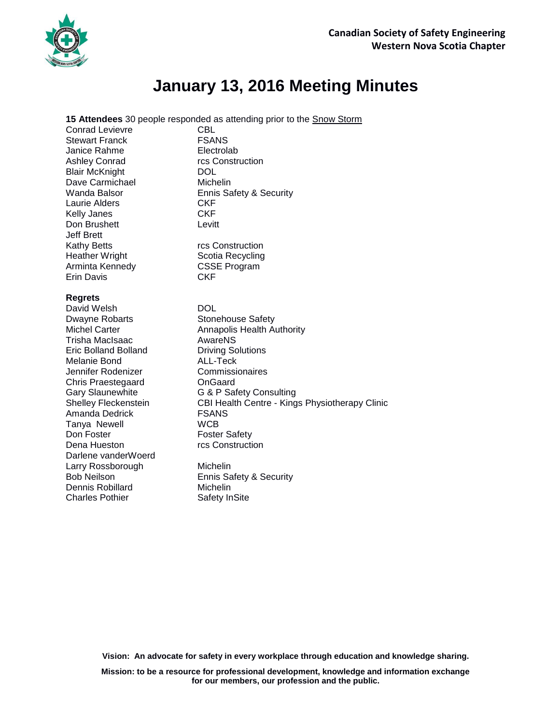

## **January 13, 2016 Meeting Minutes**

**15 Attendees** 30 people responded as attending prior to the Snow Storm

Conrad Levievre **CBL** Stewart Franck FSANS Janice Rahme **Electrolab** Ashley Conrad rcs Construction Blair McKnight DOL Dave Carmichael Michelin Laurie Alders **CKF** Kelly Janes CKF Don Brushett Levitt Jeff Brett Kathy Betts **rcs** Construction Heather Wright **Scotia Recycling** Arminta Kennedy CSSE Program Erin Davis CKF

## **Regrets**

David Welsh DOL Dwayne Robarts Stonehouse Safety Trisha MacIsaac **AwareNS** Eric Bolland Bolland Driving Solutions Melanie Bond ALL-Teck Jennifer Rodenizer Commissionaires Chris Praestegaard OnGaard Amanda Dedrick FSANS Tanya Newell **WCB** Don Foster **Foster Safety** Dena Hueston **rcs** Construction Darlene vanderWoerd Larry Rossborough Michelin Dennis Robillard Michelin Charles Pothier Safety InSite

Wanda Balsor **Ennis Safety & Security** 

Michel Carter **Annapolis Health Authority** Gary Slaunewhite **G & P Safety Consulting** Shelley Fleckenstein CBI Health Centre - Kings Physiotherapy Clinic

Bob Neilson Ennis Safety & Security

**Vision: An advocate for safety in every workplace through education and knowledge sharing.**

**Mission: to be a resource for professional development, knowledge and information exchange for our members, our profession and the public.**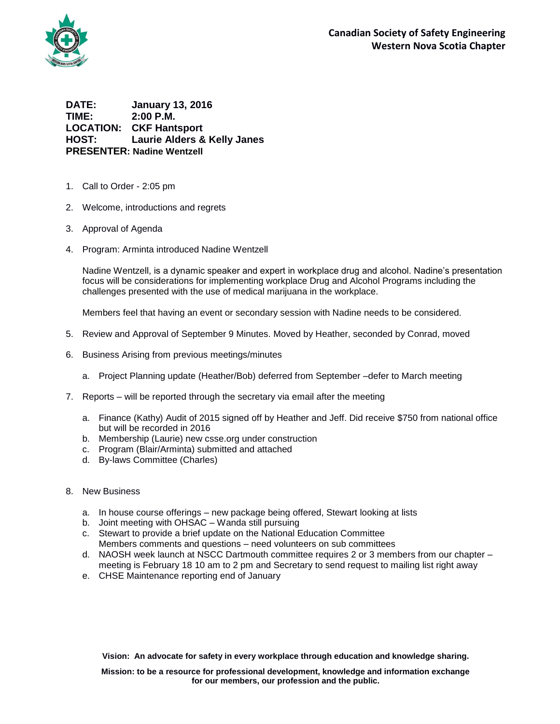

**DATE: January 13, 2016 TIME: 2:00 P.M. LOCATION: CKF Hantsport HOST: Laurie Alders & Kelly Janes PRESENTER: Nadine Wentzell**

- 1. Call to Order 2:05 pm
- 2. Welcome, introductions and regrets
- 3. Approval of Agenda
- 4. Program: Arminta introduced Nadine Wentzell

Nadine Wentzell, is a dynamic speaker and expert in workplace drug and alcohol. Nadine's presentation focus will be considerations for implementing workplace Drug and Alcohol Programs including the challenges presented with the use of medical marijuana in the workplace.

Members feel that having an event or secondary session with Nadine needs to be considered.

- 5. Review and Approval of September 9 Minutes. Moved by Heather, seconded by Conrad, moved
- 6. Business Arising from previous meetings/minutes
	- a. Project Planning update (Heather/Bob) deferred from September –defer to March meeting
- 7. Reports will be reported through the secretary via email after the meeting
	- a. Finance (Kathy) Audit of 2015 signed off by Heather and Jeff. Did receive \$750 from national office but will be recorded in 2016
	- b. Membership (Laurie) new csse.org under construction
	- c. Program (Blair/Arminta) submitted and attached
	- d. By-laws Committee (Charles)
- 8. New Business
	- a. In house course offerings new package being offered, Stewart looking at lists
	- b. Joint meeting with OHSAC Wanda still pursuing
	- c. Stewart to provide a brief update on the National Education Committee Members comments and questions – need volunteers on sub committees
	- d. NAOSH week launch at NSCC Dartmouth committee requires 2 or 3 members from our chapter meeting is February 18 10 am to 2 pm and Secretary to send request to mailing list right away
	- e. CHSE Maintenance reporting end of January

**Vision: An advocate for safety in every workplace through education and knowledge sharing.**

**Mission: to be a resource for professional development, knowledge and information exchange for our members, our profession and the public.**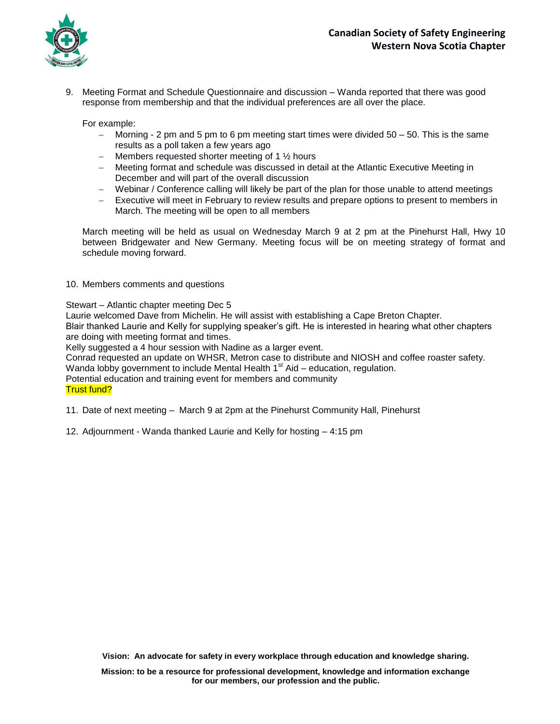

9. Meeting Format and Schedule Questionnaire and discussion – Wanda reported that there was good response from membership and that the individual preferences are all over the place.

For example:

- $-$  Morning 2 pm and 5 pm to 6 pm meeting start times were divided  $50 50$ . This is the same results as a poll taken a few years ago
- Members requested shorter meeting of 1  $\frac{1}{2}$  hours
- Meeting format and schedule was discussed in detail at the Atlantic Executive Meeting in December and will part of the overall discussion
- Webinar / Conference calling will likely be part of the plan for those unable to attend meetings
- Executive will meet in February to review results and prepare options to present to members in March. The meeting will be open to all members

March meeting will be held as usual on Wednesday March 9 at 2 pm at the Pinehurst Hall, Hwy 10 between Bridgewater and New Germany. Meeting focus will be on meeting strategy of format and schedule moving forward.

10. Members comments and questions

Stewart – Atlantic chapter meeting Dec 5

Laurie welcomed Dave from Michelin. He will assist with establishing a Cape Breton Chapter.

Blair thanked Laurie and Kelly for supplying speaker's gift. He is interested in hearing what other chapters are doing with meeting format and times.

Kelly suggested a 4 hour session with Nadine as a larger event.

Conrad requested an update on WHSR, Metron case to distribute and NIOSH and coffee roaster safety.

Wanda lobby government to include Mental Health  $1<sup>st</sup>$  Aid – education, regulation.

Potential education and training event for members and community

## Trust fund?

- 11. Date of next meeting March 9 at 2pm at the Pinehurst Community Hall, Pinehurst
- 12. Adjournment Wanda thanked Laurie and Kelly for hosting 4:15 pm